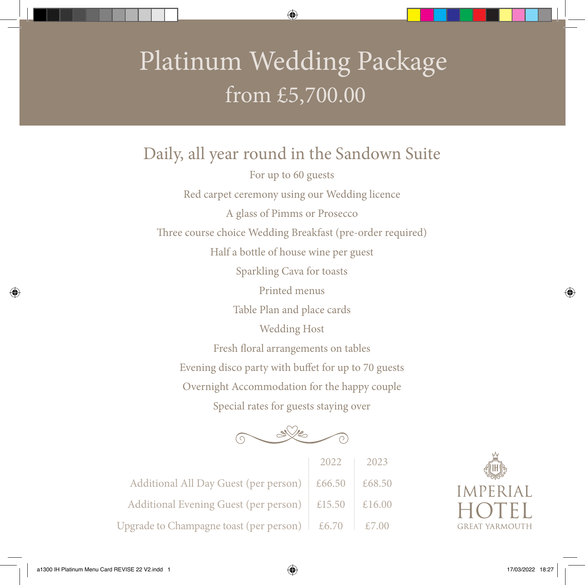## Platinum Wedding Package from £5,700.00

Daily, all year round in the Sandown Suite For up to 60 guests Red carpet ceremony using our Wedding licence A glass of Pimms or Prosecco Three course choice Wedding Breakfast (pre-order required) Half a bottle of house wine per guest Sparkling Cava for toasts Printed menus Table Plan and place cards Wedding Host Fresh floral arrangements on tables Evening disco party with buffet for up to 70 guests Overnight Accommodation for the happy couple Special rates for guests staying over



2022 2023 Additional All Day Guest (per person)  $\leq$  £66.50  $\leq$  £68.50 Additional Evening Guest (per person)  $\mid$  £15.50  $\mid$  £16.00 Upgrade to Champagne toast (per person)  $\&$  £6.70  $\&$  £7.00